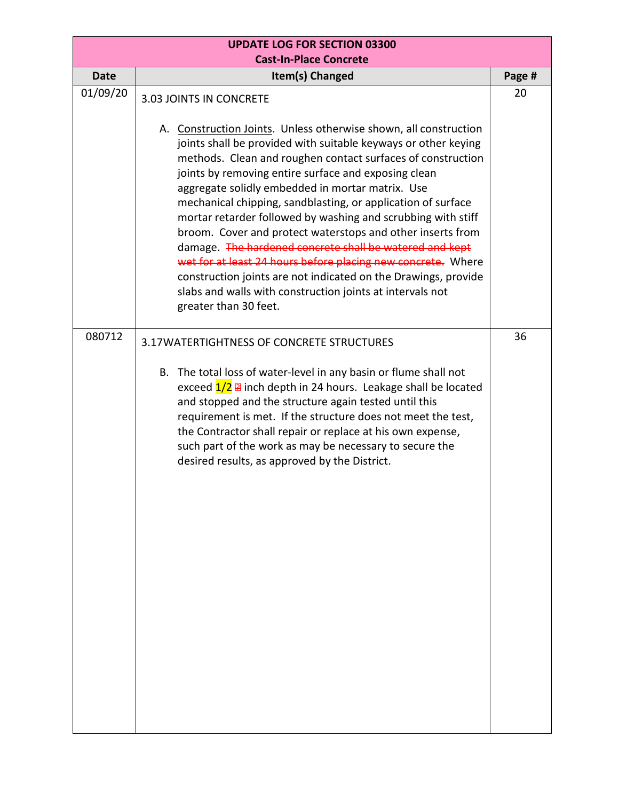| <b>UPDATE LOG FOR SECTION 03300</b><br><b>Cast-In-Place Concrete</b> |                                                                                                                                                                                                                                                                                                                                                                                                                                                                                                                                                                                                                                                                                                                                                                                                                           |        |  |  |
|----------------------------------------------------------------------|---------------------------------------------------------------------------------------------------------------------------------------------------------------------------------------------------------------------------------------------------------------------------------------------------------------------------------------------------------------------------------------------------------------------------------------------------------------------------------------------------------------------------------------------------------------------------------------------------------------------------------------------------------------------------------------------------------------------------------------------------------------------------------------------------------------------------|--------|--|--|
| <b>Date</b>                                                          | Item(s) Changed                                                                                                                                                                                                                                                                                                                                                                                                                                                                                                                                                                                                                                                                                                                                                                                                           | Page # |  |  |
| 01/09/20                                                             | 3.03 JOINTS IN CONCRETE<br>A. Construction Joints. Unless otherwise shown, all construction<br>joints shall be provided with suitable keyways or other keying<br>methods. Clean and roughen contact surfaces of construction<br>joints by removing entire surface and exposing clean<br>aggregate solidly embedded in mortar matrix. Use<br>mechanical chipping, sandblasting, or application of surface<br>mortar retarder followed by washing and scrubbing with stiff<br>broom. Cover and protect waterstops and other inserts from<br>damage. The hardened concrete shall be watered and kept<br>wet for at least 24 hours before placing new concrete. Where<br>construction joints are not indicated on the Drawings, provide<br>slabs and walls with construction joints at intervals not<br>greater than 30 feet. | 20     |  |  |
| 080712                                                               | 3.17WATERTIGHTNESS OF CONCRETE STRUCTURES<br>B. The total loss of water-level in any basin or flume shall not<br>exceed $1/2$ $\overline{a}$ inch depth in 24 hours. Leakage shall be located<br>and stopped and the structure again tested until this<br>requirement is met. If the structure does not meet the test,<br>the Contractor shall repair or replace at his own expense,<br>such part of the work as may be necessary to secure the<br>desired results, as approved by the District.                                                                                                                                                                                                                                                                                                                          | 36     |  |  |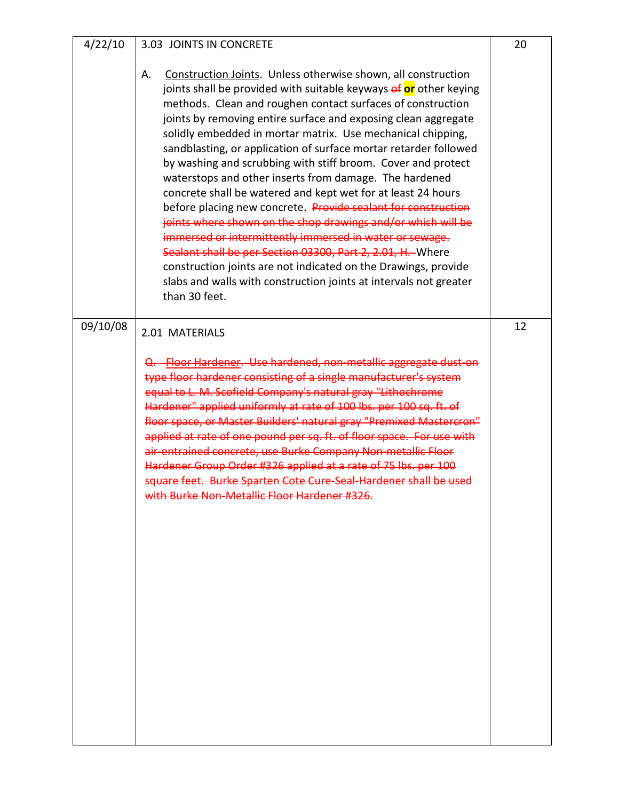| 4/22/10  | 3.03 JOINTS IN CONCRETE                                                                                                                                                                                                                                                                                                                                                                                                                                                                                                                                                                                                                                                                                                                                                                                                                                                                                                                                                                                                  | 20 |
|----------|--------------------------------------------------------------------------------------------------------------------------------------------------------------------------------------------------------------------------------------------------------------------------------------------------------------------------------------------------------------------------------------------------------------------------------------------------------------------------------------------------------------------------------------------------------------------------------------------------------------------------------------------------------------------------------------------------------------------------------------------------------------------------------------------------------------------------------------------------------------------------------------------------------------------------------------------------------------------------------------------------------------------------|----|
|          | Construction Joints. Unless otherwise shown, all construction<br>Α.<br>joints shall be provided with suitable keyways of or other keying<br>methods. Clean and roughen contact surfaces of construction<br>joints by removing entire surface and exposing clean aggregate<br>solidly embedded in mortar matrix. Use mechanical chipping,<br>sandblasting, or application of surface mortar retarder followed<br>by washing and scrubbing with stiff broom. Cover and protect<br>waterstops and other inserts from damage. The hardened<br>concrete shall be watered and kept wet for at least 24 hours<br>before placing new concrete. Provide sealant for construction<br>joints where shown on the shop drawings and/or which will be<br>immersed or intermittently immersed in water or sewage.<br>Sealant shall be per Section 03300, Part 2, 2.01, H. Where<br>construction joints are not indicated on the Drawings, provide<br>slabs and walls with construction joints at intervals not greater<br>than 30 feet. |    |
| 09/10/08 | 2.01 MATERIALS<br>-Floor Hardener. Use hardened, non-metallic aggregate dust-on<br>type floor hardener consisting of a single manufacturer's system<br>equal to L. M. Scofield Company's natural gray "Lithochrome<br>Hardener" applied uniformly at rate of 100 lbs. per 100 sq. ft. of<br>floor space, or Master Builders' natural gray "Premixed Mastercron"<br>applied at rate of one pound per sq. ft. of floor space. For use with<br>air entrained concrete, use Burke Company Non metallic Floor<br>Hardener Group Order #326 applied at a rate of 75 lbs. per 100<br>square feet. Burke Sparten Cote Cure Seal Hardener shall be used                                                                                                                                                                                                                                                                                                                                                                           | 12 |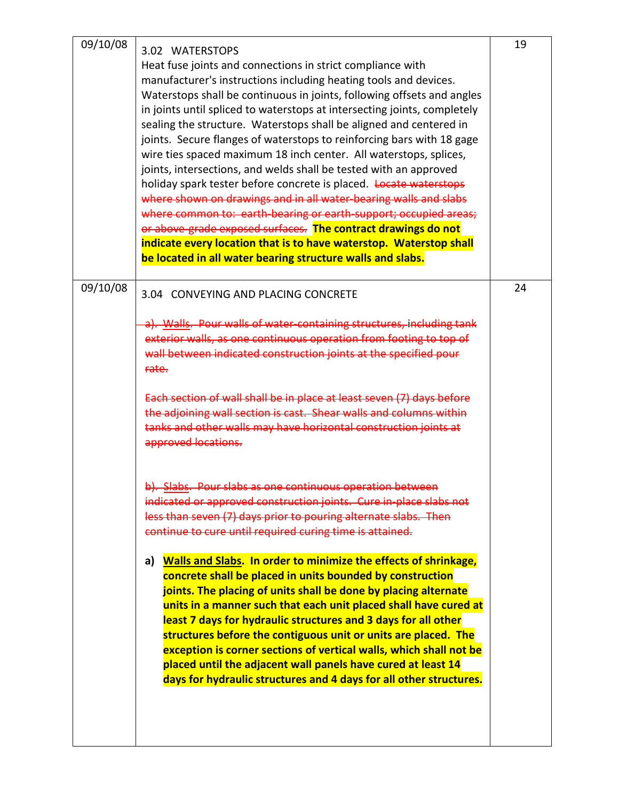| 09/10/08 | 3.02 WATERSTOPS<br>Heat fuse joints and connections in strict compliance with<br>manufacturer's instructions including heating tools and devices.<br>Waterstops shall be continuous in joints, following offsets and angles<br>in joints until spliced to waterstops at intersecting joints, completely<br>sealing the structure. Waterstops shall be aligned and centered in<br>joints. Secure flanges of waterstops to reinforcing bars with 18 gage<br>wire ties spaced maximum 18 inch center. All waterstops, splices,<br>joints, intersections, and welds shall be tested with an approved<br>holiday spark tester before concrete is placed. Locate waterstops<br>where shown on drawings and in all water-bearing walls and slabs<br>where common to: earth-bearing or earth-support; occupied areas;<br>or above-grade exposed surfaces. The contract drawings do not<br>indicate every location that is to have waterstop. Waterstop shall<br>be located in all water bearing structure walls and slabs. | 19 |
|----------|--------------------------------------------------------------------------------------------------------------------------------------------------------------------------------------------------------------------------------------------------------------------------------------------------------------------------------------------------------------------------------------------------------------------------------------------------------------------------------------------------------------------------------------------------------------------------------------------------------------------------------------------------------------------------------------------------------------------------------------------------------------------------------------------------------------------------------------------------------------------------------------------------------------------------------------------------------------------------------------------------------------------|----|
| 09/10/08 | 3.04 CONVEYING AND PLACING CONCRETE                                                                                                                                                                                                                                                                                                                                                                                                                                                                                                                                                                                                                                                                                                                                                                                                                                                                                                                                                                                | 24 |
|          | Walls. Pour walls of water-containing structures, including tank<br>exterior walls, as one continuous operation from footing to top of<br>wall between indicated construction joints at the specified pour<br>rate.<br>Each section of wall shall be in place at least seven (7) days<br>the adjoining wall section is cast. Shear walls and columns within<br>tanks and other walls may have horizontal construction joints at<br>approved locations.                                                                                                                                                                                                                                                                                                                                                                                                                                                                                                                                                             |    |
|          | Slabs. Pour slabs as one continuous operation bety<br>indicated or approved construction joints. Cure in place slabs not<br>less than seven (7) days prior to pouring alternate slabs. Then<br>continue to cure until required curing time is attained.                                                                                                                                                                                                                                                                                                                                                                                                                                                                                                                                                                                                                                                                                                                                                            |    |
|          | <b>Walls and Slabs. In order to minimize the effects of shrinkage,</b><br>a)<br>concrete shall be placed in units bounded by construction<br>joints. The placing of units shall be done by placing alternate<br>units in a manner such that each unit placed shall have cured at<br>least 7 days for hydraulic structures and 3 days for all other<br>structures before the contiguous unit or units are placed. The<br>exception is corner sections of vertical walls, which shall not be<br>placed until the adjacent wall panels have cured at least 14<br>days for hydraulic structures and 4 days for all other structures.                                                                                                                                                                                                                                                                                                                                                                                   |    |